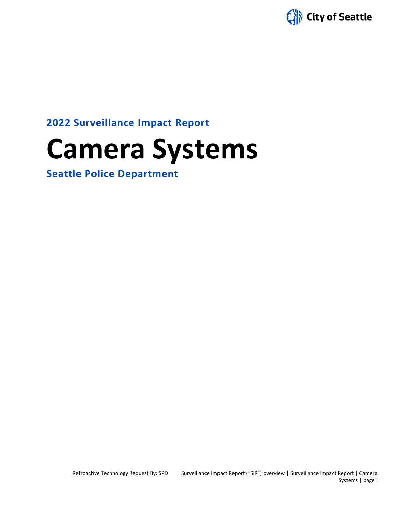

**2022 Surveillance Impact Report**

# **Camera Systems**

**Seattle Police Department**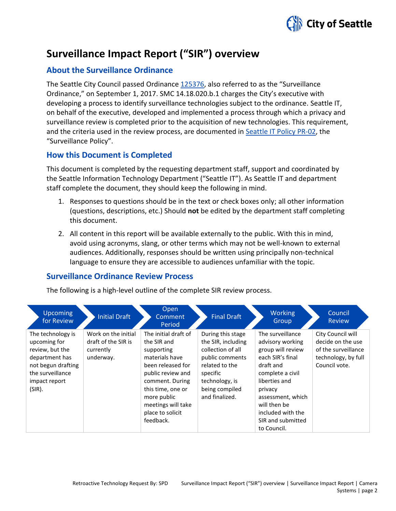

## **Surveillance Impact Report ("SIR") overview**

#### **About the Surveillance Ordinance**

The Seattle City Council passed Ordinance [125376,](http://seattle.legistar.com/LegislationDetail.aspx?ID=2981172&GUID=0B2FEFC0-822F-4907-9409-E318537E5330&Options=Advanced&Search=) also referred to as the "Surveillance Ordinance," on September 1, 2017. SMC 14.18.020.b.1 charges the City's executive with developing a process to identify surveillance technologies subject to the ordinance. Seattle IT, on behalf of the executive, developed and implemented a process through which a privacy and surveillance review is completed prior to the acquisition of new technologies. This requirement, and the criteria used in the review process, are documented in Seattle IT [Policy PR-02,](https://seattlegov.sharepoint.com/sites/IT-CDR/Operating_Docs/PR-02SurveillancePolicy.pdf) the "Surveillance Policy".

#### **How this Document is Completed**

This document is completed by the requesting department staff, support and coordinated by the Seattle Information Technology Department ("Seattle IT"). As Seattle IT and department staff complete the document, they should keep the following in mind.

- 1. Responses to questions should be in the text or check boxes only; all other information (questions, descriptions, etc.) Should **not** be edited by the department staff completing this document.
- 2. All content in this report will be available externally to the public. With this in mind, avoid using acronyms, slang, or other terms which may not be well-known to external audiences. Additionally, responses should be written using principally non-technical language to ensure they are accessible to audiences unfamiliar with the topic.

#### **Surveillance Ordinance Review Process**

The following is a high-level outline of the complete SIR review process.

| <b>Upcoming</b><br>for Review                                                                                                               | <b>Initial Draft</b>                                                 | Open<br>Comment<br>Period                                                                                                                                                                                                   | <b>Final Draft</b>                                                                                                                                                  | <b>Working</b><br>Group                                                                                                                                                                                                                  | Council<br><b>Review</b>                                                                              |
|---------------------------------------------------------------------------------------------------------------------------------------------|----------------------------------------------------------------------|-----------------------------------------------------------------------------------------------------------------------------------------------------------------------------------------------------------------------------|---------------------------------------------------------------------------------------------------------------------------------------------------------------------|------------------------------------------------------------------------------------------------------------------------------------------------------------------------------------------------------------------------------------------|-------------------------------------------------------------------------------------------------------|
| The technology is<br>upcoming for<br>review, but the<br>department has<br>not begun drafting<br>the surveillance<br>impact report<br>(SIR). | Work on the initial<br>draft of the SIR is<br>currently<br>underway. | The initial draft of<br>the SIR and<br>supporting<br>materials have<br>been released for<br>public review and<br>comment. During<br>this time, one or<br>more public<br>meetings will take<br>place to solicit<br>feedback. | During this stage<br>the SIR, including<br>collection of all<br>public comments<br>related to the<br>specific<br>technology, is<br>being compiled<br>and finalized. | The surveillance<br>advisory working<br>group will review<br>each SIR's final<br>draft and<br>complete a civil<br>liberties and<br>privacy<br>assessment, which<br>will then be<br>included with the<br>SIR and submitted<br>to Council. | City Council will<br>decide on the use<br>of the surveillance<br>technology, by full<br>Council vote. |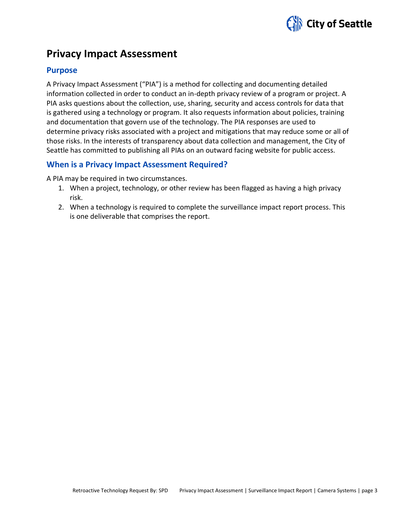

### **Privacy Impact Assessment**

#### **Purpose**

A Privacy Impact Assessment ("PIA") is a method for collecting and documenting detailed information collected in order to conduct an in-depth privacy review of a program or project. A PIA asks questions about the collection, use, sharing, security and access controls for data that is gathered using a technology or program. It also requests information about policies, training and documentation that govern use of the technology. The PIA responses are used to determine privacy risks associated with a project and mitigations that may reduce some or all of those risks. In the interests of transparency about data collection and management, the City of Seattle has committed to publishing all PIAs on an outward facing website for public access.

#### **When is a Privacy Impact Assessment Required?**

A PIA may be required in two circumstances.

- 1. When a project, technology, or other review has been flagged as having a high privacy risk.
- 2. When a technology is required to complete the surveillance impact report process. This is one deliverable that comprises the report.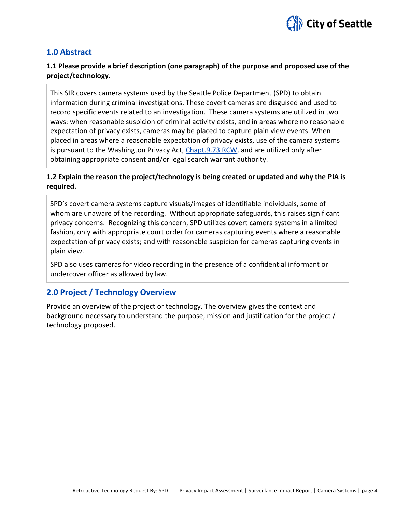

#### **1.0 Abstract**

#### **1.1 Please provide a brief description (one paragraph) of the purpose and proposed use of the project/technology.**

This SIR covers camera systems used by the Seattle Police Department (SPD) to obtain information during criminal investigations. These covert cameras are disguised and used to record specific events related to an investigation. These camera systems are utilized in two ways: when reasonable suspicion of criminal activity exists, and in areas where no reasonable expectation of privacy exists, cameras may be placed to capture plain view events. When placed in areas where a reasonable expectation of privacy exists, use of the camera systems is pursuant to the Washington Privacy Act, [Chapt.9.73 RCW,](http://app.leg.wa.gov/rcw/default.aspx?cite=9.73) and are utilized only after obtaining appropriate consent and/or legal search warrant authority.

#### **1.2 Explain the reason the project/technology is being created or updated and why the PIA is required.**

SPD's covert camera systems capture visuals/images of identifiable individuals, some of whom are unaware of the recording. Without appropriate safeguards, this raises significant privacy concerns. Recognizing this concern, SPD utilizes covert camera systems in a limited fashion, only with appropriate court order for cameras capturing events where a reasonable expectation of privacy exists; and with reasonable suspicion for cameras capturing events in plain view.

SPD also uses cameras for video recording in the presence of a confidential informant or undercover officer as allowed by law.

#### **2.0 Project / Technology Overview**

Provide an overview of the project or technology. The overview gives the context and background necessary to understand the purpose, mission and justification for the project / technology proposed.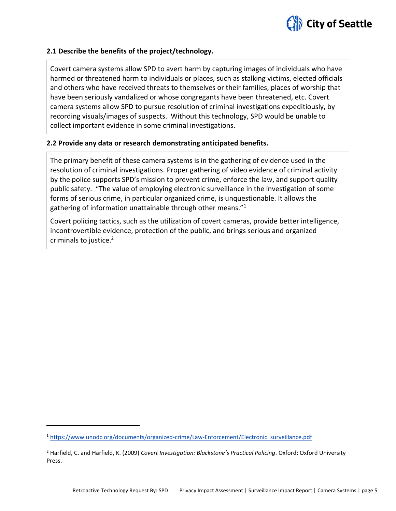

#### **2.1 Describe the benefits of the project/technology.**

Covert camera systems allow SPD to avert harm by capturing images of individuals who have harmed or threatened harm to individuals or places, such as stalking victims, elected officials and others who have received threats to themselves or their families, places of worship that have been seriously vandalized or whose congregants have been threatened, etc. Covert camera systems allow SPD to pursue resolution of criminal investigations expeditiously, by recording visuals/images of suspects. Without this technology, SPD would be unable to collect important evidence in some criminal investigations.

#### **2.2 Provide any data or research demonstrating anticipated benefits.**

The primary benefit of these camera systems is in the gathering of evidence used in the resolution of criminal investigations. Proper gathering of video evidence of criminal activity by the police supports SPD's mission to prevent crime, enforce the law, and support quality public safety. "The value of employing electronic surveillance in the investigation of some forms of serious crime, in particular organized crime, is unquestionable. It allows the gathering of information unattainable through other means."<sup>1</sup>

Covert policing tactics, such as the utilization of covert cameras, provide better intelligence, incontrovertible evidence, protection of the public, and brings serious and organized criminals to justice. 2

<sup>1</sup> [https://www.unodc.org/documents/organized-crime/Law-Enforcement/Electronic\\_surveillance.pdf](https://www.unodc.org/documents/organized-crime/Law-Enforcement/Electronic_surveillance.pdf)

<sup>2</sup> Harfield, C. and Harfield, K. (2009) *Covert Investigation: Blackstone's Practical Policing*. Oxford: Oxford University Press.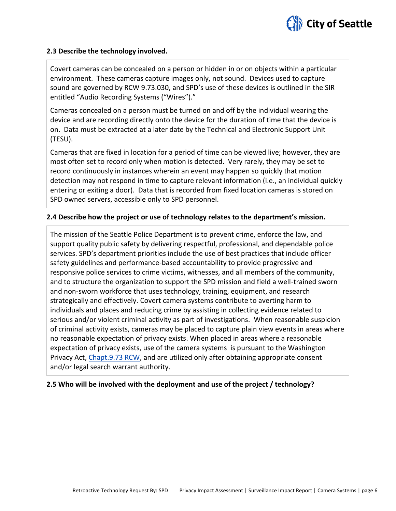

#### **2.3 Describe the technology involved.**

Covert cameras can be concealed on a person or hidden in or on objects within a particular environment. These cameras capture images only, not sound. Devices used to capture sound are governed by RCW 9.73.030, and SPD's use of these devices is outlined in the SIR entitled "Audio Recording Systems ("Wires")."

Cameras concealed on a person must be turned on and off by the individual wearing the device and are recording directly onto the device for the duration of time that the device is on. Data must be extracted at a later date by the Technical and Electronic Support Unit (TESU).

Cameras that are fixed in location for a period of time can be viewed live; however, they are most often set to record only when motion is detected. Very rarely, they may be set to record continuously in instances wherein an event may happen so quickly that motion detection may not respond in time to capture relevant information (i.e., an individual quickly entering or exiting a door). Data that is recorded from fixed location cameras is stored on SPD owned servers, accessible only to SPD personnel.

#### **2.4 Describe how the project or use of technology relates to the department's mission.**

The mission of the Seattle Police Department is to prevent crime, enforce the law, and support quality public safety by delivering respectful, professional, and dependable police services. SPD's department priorities include the use of best practices that include officer safety guidelines and performance-based accountability to provide progressive and responsive police services to crime victims, witnesses, and all members of the community, and to structure the organization to support the SPD mission and field a well-trained sworn and non-sworn workforce that uses technology, training, equipment, and research strategically and effectively. Covert camera systems contribute to averting harm to individuals and places and reducing crime by assisting in collecting evidence related to serious and/or violent criminal activity as part of investigations. When reasonable suspicion of criminal activity exists, cameras may be placed to capture plain view events in areas where no reasonable expectation of privacy exists. When placed in areas where a reasonable expectation of privacy exists, use of the camera systems is pursuant to the Washington Privacy Act, [Chapt.9.73 RCW,](http://app.leg.wa.gov/rcw/default.aspx?cite=9.73) and are utilized only after obtaining appropriate consent and/or legal search warrant authority.

#### **2.5 Who will be involved with the deployment and use of the project / technology?**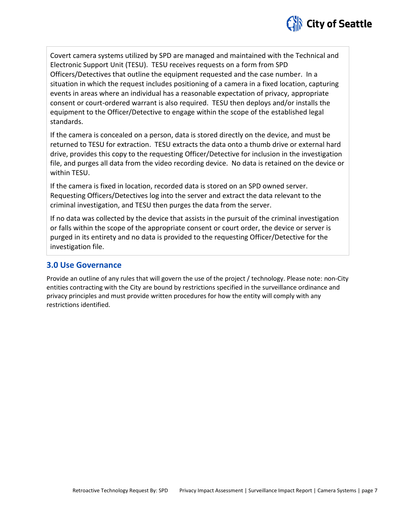

Covert camera systems utilized by SPD are managed and maintained with the Technical and Electronic Support Unit (TESU). TESU receives requests on a form from SPD Officers/Detectives that outline the equipment requested and the case number. In a situation in which the request includes positioning of a camera in a fixed location, capturing events in areas where an individual has a reasonable expectation of privacy, appropriate consent or court-ordered warrant is also required. TESU then deploys and/or installs the equipment to the Officer/Detective to engage within the scope of the established legal standards.

If the camera is concealed on a person, data is stored directly on the device, and must be returned to TESU for extraction. TESU extracts the data onto a thumb drive or external hard drive, provides this copy to the requesting Officer/Detective for inclusion in the investigation file, and purges all data from the video recording device. No data is retained on the device or within TESU.

If the camera is fixed in location, recorded data is stored on an SPD owned server. Requesting Officers/Detectives log into the server and extract the data relevant to the criminal investigation, and TESU then purges the data from the server.

If no data was collected by the device that assists in the pursuit of the criminal investigation or falls within the scope of the appropriate consent or court order, the device or server is purged in its entirety and no data is provided to the requesting Officer/Detective for the investigation file.

#### **3.0 Use Governance**

Provide an outline of any rules that will govern the use of the project / technology. Please note: non-City entities contracting with the City are bound by restrictions specified in the surveillance ordinance and privacy principles and must provide written procedures for how the entity will comply with any restrictions identified.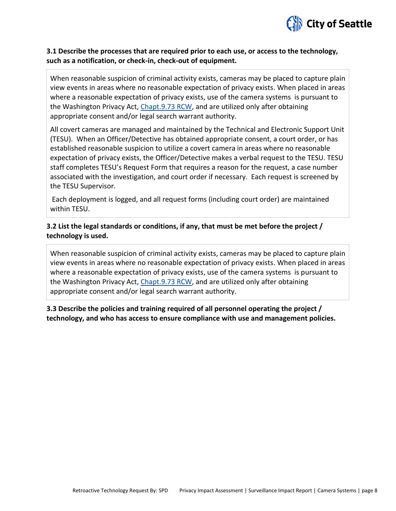

#### **3.1 Describe the processes that are required prior to each use, or access to the technology, such as a notification, or check-in, check-out of equipment.**

When reasonable suspicion of criminal activity exists, cameras may be placed to capture plain view events in areas where no reasonable expectation of privacy exists. When placed in areas where a reasonable expectation of privacy exists, use of the camera systems is pursuant to the Washington Privacy Act, [Chapt.9.73 RCW,](http://app.leg.wa.gov/rcw/default.aspx?cite=9.73) and are utilized only after obtaining appropriate consent and/or legal search warrant authority.

All covert cameras are managed and maintained by the Technical and Electronic Support Unit (TESU). When an Officer/Detective has obtained appropriate consent, a court order, or has established reasonable suspicion to utilize a covert camera in areas where no reasonable expectation of privacy exists, the Officer/Detective makes a verbal request to the TESU. TESU staff completes TESU's Request Form that requires a reason for the request, a case number associated with the investigation, and court order if necessary. Each request is screened by the TESU Supervisor.

Each deployment is logged, and all request forms (including court order) are maintained within TESU.

#### **3.2 List the legal standards or conditions, if any, that must be met before the project / technology is used.**

When reasonable suspicion of criminal activity exists, cameras may be placed to capture plain view events in areas where no reasonable expectation of privacy exists. When placed in areas where a reasonable expectation of privacy exists, use of the camera systems is pursuant to the Washington Privacy Act, [Chapt.9.73 RCW,](http://app.leg.wa.gov/rcw/default.aspx?cite=9.73) and are utilized only after obtaining appropriate consent and/or legal search warrant authority.

**3.3 Describe the policies and training required of all personnel operating the project / technology, and who has access to ensure compliance with use and management policies.**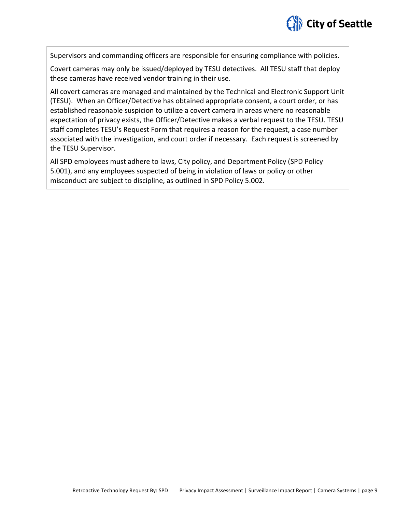# City of Seattle

Supervisors and commanding officers are responsible for ensuring compliance with policies.

Covert cameras may only be issued/deployed by TESU detectives. All TESU staff that deploy these cameras have received vendor training in their use.

All covert cameras are managed and maintained by the Technical and Electronic Support Unit (TESU). When an Officer/Detective has obtained appropriate consent, a court order, or has established reasonable suspicion to utilize a covert camera in areas where no reasonable expectation of privacy exists, the Officer/Detective makes a verbal request to the TESU. TESU staff completes TESU's Request Form that requires a reason for the request, a case number associated with the investigation, and court order if necessary. Each request is screened by the TESU Supervisor.

All SPD employees must adhere to laws, City policy, and Department Policy (SPD Policy 5.001), and any employees suspected of being in violation of laws or policy or other misconduct are subject to discipline, as outlined in SPD Policy 5.002.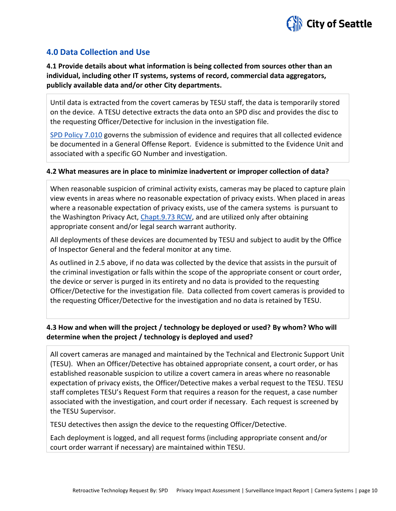

#### **4.0 Data Collection and Use**

**4.1 Provide details about what information is being collected from sources other than an individual, including other IT systems, systems of record, commercial data aggregators, publicly available data and/or other City departments.**

Until data is extracted from the covert cameras by TESU staff, the data is temporarily stored on the device. A TESU detective extracts the data onto an SPD disc and provides the disc to the requesting Officer/Detective for inclusion in the investigation file.

[SPD Policy 7.010](http://www.seattle.gov/police-manual/title-7---evidence-and-property/7010---submitting-evidence) governs the submission of evidence and requires that all collected evidence be documented in a General Offense Report. Evidence is submitted to the Evidence Unit and associated with a specific GO Number and investigation.

#### **4.2 What measures are in place to minimize inadvertent or improper collection of data?**

When reasonable suspicion of criminal activity exists, cameras may be placed to capture plain view events in areas where no reasonable expectation of privacy exists. When placed in areas where a reasonable expectation of privacy exists, use of the camera systems is pursuant to the Washington Privacy Act, [Chapt.9.73 RCW,](http://app.leg.wa.gov/rcw/default.aspx?cite=9.73) and are utilized only after obtaining appropriate consent and/or legal search warrant authority.

All deployments of these devices are documented by TESU and subject to audit by the Office of Inspector General and the federal monitor at any time.

As outlined in 2.5 above, if no data was collected by the device that assists in the pursuit of the criminal investigation or falls within the scope of the appropriate consent or court order, the device or server is purged in its entirety and no data is provided to the requesting Officer/Detective for the investigation file. Data collected from covert cameras is provided to the requesting Officer/Detective for the investigation and no data is retained by TESU.

#### **4.3 How and when will the project / technology be deployed or used? By whom? Who will determine when the project / technology is deployed and used?**

All covert cameras are managed and maintained by the Technical and Electronic Support Unit (TESU). When an Officer/Detective has obtained appropriate consent, a court order, or has established reasonable suspicion to utilize a covert camera in areas where no reasonable expectation of privacy exists, the Officer/Detective makes a verbal request to the TESU. TESU staff completes TESU's Request Form that requires a reason for the request, a case number associated with the investigation, and court order if necessary. Each request is screened by the TESU Supervisor.

TESU detectives then assign the device to the requesting Officer/Detective.

Each deployment is logged, and all request forms (including appropriate consent and/or court order warrant if necessary) are maintained within TESU.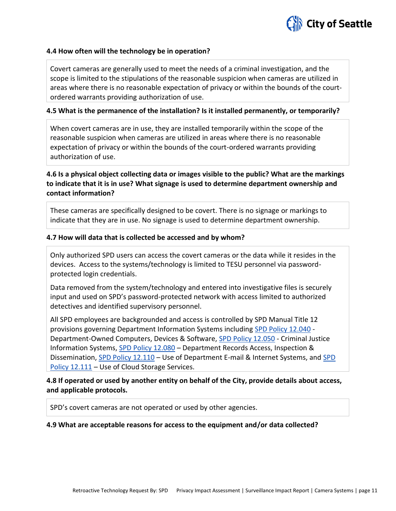

#### **4.4 How often will the technology be in operation?**

Covert cameras are generally used to meet the needs of a criminal investigation, and the scope is limited to the stipulations of the reasonable suspicion when cameras are utilized in areas where there is no reasonable expectation of privacy or within the bounds of the courtordered warrants providing authorization of use.

#### **4.5 What is the permanence of the installation? Is it installed permanently, or temporarily?**

When covert cameras are in use, they are installed temporarily within the scope of the reasonable suspicion when cameras are utilized in areas where there is no reasonable expectation of privacy or within the bounds of the court-ordered warrants providing authorization of use.

**4.6 Is a physical object collecting data or images visible to the public? What are the markings to indicate that it is in use? What signage is used to determine department ownership and contact information?**

These cameras are specifically designed to be covert. There is no signage or markings to indicate that they are in use. No signage is used to determine department ownership.

#### **4.7 How will data that is collected be accessed and by whom?**

Only authorized SPD users can access the covert cameras or the data while it resides in the devices. Access to the systems/technology is limited to TESU personnel via passwordprotected login credentials.

Data removed from the system/technology and entered into investigative files is securely input and used on SPD's password-protected network with access limited to authorized detectives and identified supervisory personnel.

All SPD employees are backgrounded and access is controlled by SPD Manual Title 12 provisions governing Department Information Systems including [SPD Policy 12.040](http://www.seattle.gov/police-manual/title-12---department-information-systems/12040---department-owned-computers-devices-and-software) - Department-Owned Computers, Devices & Software[, SPD Policy 12.050](http://www.seattle.gov/police-manual/title-12---department-information-systems/12050---criminal-justice-information-systems) - Criminal Justice Information Systems, [SPD Policy 12.080](http://www.seattle.gov/police-manual/title-12---department-information-systems/12080---department-records-access-inspection-and-dissemination) – Department Records Access, Inspection & Dissemination, [SPD Policy 12.110](http://www.seattle.gov/police-manual/title-12---department-information-systems/12110---use-of-department-e-mail-and-internet-systems) – Use of Department E-mail & Internet Systems, and SPD [Policy 12.111](http://www.seattle.gov/police-manual/title-12---department-information-systems/12111---use-of-cloud-storage-services) – Use of Cloud Storage Services.

#### **4.8 If operated or used by another entity on behalf of the City, provide details about access, and applicable protocols.**

SPD's covert cameras are not operated or used by other agencies.

#### **4.9 What are acceptable reasons for access to the equipment and/or data collected?**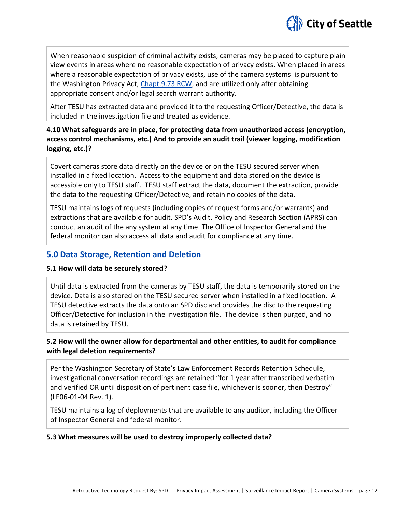

When reasonable suspicion of criminal activity exists, cameras may be placed to capture plain view events in areas where no reasonable expectation of privacy exists. When placed in areas where a reasonable expectation of privacy exists, use of the camera systems is pursuant to the Washington Privacy Act, [Chapt.9.73 RCW,](http://app.leg.wa.gov/rcw/default.aspx?cite=9.73) and are utilized only after obtaining appropriate consent and/or legal search warrant authority.

After TESU has extracted data and provided it to the requesting Officer/Detective, the data is included in the investigation file and treated as evidence.

#### **4.10 What safeguards are in place, for protecting data from unauthorized access (encryption, access control mechanisms, etc.) And to provide an audit trail (viewer logging, modification logging, etc.)?**

Covert cameras store data directly on the device or on the TESU secured server when installed in a fixed location. Access to the equipment and data stored on the device is accessible only to TESU staff. TESU staff extract the data, document the extraction, provide the data to the requesting Officer/Detective, and retain no copies of the data.

TESU maintains logs of requests (including copies of request forms and/or warrants) and extractions that are available for audit. SPD's Audit, Policy and Research Section (APRS) can conduct an audit of the any system at any time. The Office of Inspector General and the federal monitor can also access all data and audit for compliance at any time.

#### **5.0 Data Storage, Retention and Deletion**

#### **5.1 How will data be securely stored?**

Until data is extracted from the cameras by TESU staff, the data is temporarily stored on the device. Data is also stored on the TESU secured server when installed in a fixed location. A TESU detective extracts the data onto an SPD disc and provides the disc to the requesting Officer/Detective for inclusion in the investigation file. The device is then purged, and no data is retained by TESU.

#### **5.2 How will the owner allow for departmental and other entities, to audit for compliance with legal deletion requirements?**

Per the Washington Secretary of State's Law Enforcement Records Retention Schedule, investigational conversation recordings are retained "for 1 year after transcribed verbatim and verified OR until disposition of pertinent case file, whichever is sooner, then Destroy" (LE06-01-04 Rev. 1).

TESU maintains a log of deployments that are available to any auditor, including the Officer of Inspector General and federal monitor.

#### **5.3 What measures will be used to destroy improperly collected data?**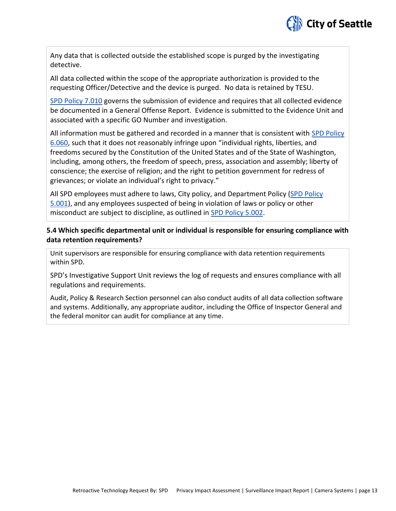

Any data that is collected outside the established scope is purged by the investigating detective.

All data collected within the scope of the appropriate authorization is provided to the requesting Officer/Detective and the device is purged. No data is retained by TESU.

[SPD Policy 7.010](http://www.seattle.gov/police-manual/title-7---evidence-and-property/7010---submitting-evidence) governs the submission of evidence and requires that all collected evidence be documented in a General Offense Report. Evidence is submitted to the Evidence Unit and associated with a specific GO Number and investigation.

All information must be gathered and recorded in a manner that is consistent with [SPD Policy](http://www.seattle.gov/police-manual/title-6---arrests-search-and-seizure/6060---collection-of-information-for-law-enforcement-purposes)  [6.060](http://www.seattle.gov/police-manual/title-6---arrests-search-and-seizure/6060---collection-of-information-for-law-enforcement-purposes), such that it does not reasonably infringe upon "individual rights, liberties, and freedoms secured by the Constitution of the United States and of the State of Washington, including, among others, the freedom of speech, press, association and assembly; liberty of conscience; the exercise of religion; and the right to petition government for redress of grievances; or violate an individual's right to privacy."

All SPD employees must adhere to laws, City policy, and Department Policy [\(SPD Policy](http://www.seattle.gov/police-manual/title-5---employee-conduct/5001---standards-and-duties)  [5.001\)](http://www.seattle.gov/police-manual/title-5---employee-conduct/5001---standards-and-duties), and any employees suspected of being in violation of laws or policy or other misconduct are subject to discipline, as outlined in [SPD Policy 5.002.](http://www.seattle.gov/police-manual/title-5---employee-conduct/5002---responsibilities-of-employees-concerning-alleged-policy-violations)

#### **5.4 Which specific departmental unit or individual is responsible for ensuring compliance with data retention requirements?**

Unit supervisors are responsible for ensuring compliance with data retention requirements within SPD.

SPD's Investigative Support Unit reviews the log of requests and ensures compliance with all regulations and requirements.

Audit, Policy & Research Section personnel can also conduct audits of all data collection software and systems. Additionally, any appropriate auditor, including the Office of Inspector General and the federal monitor can audit for compliance at any time.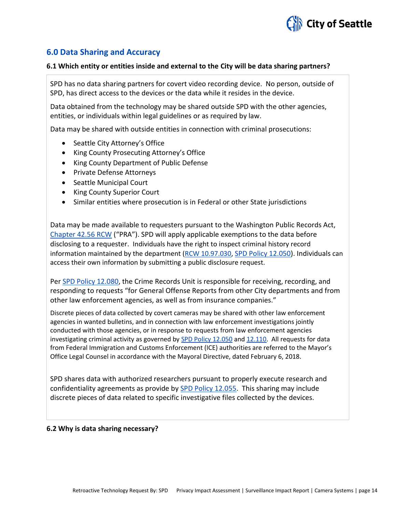

#### **6.0 Data Sharing and Accuracy**

#### **6.1 Which entity or entities inside and external to the City will be data sharing partners?**

SPD has no data sharing partners for covert video recording device. No person, outside of SPD, has direct access to the devices or the data while it resides in the device.

Data obtained from the technology may be shared outside SPD with the other agencies, entities, or individuals within legal guidelines or as required by law.

Data may be shared with outside entities in connection with criminal prosecutions:

- Seattle City Attorney's Office
- King County Prosecuting Attorney's Office
- King County Department of Public Defense
- Private Defense Attorneys
- Seattle Municipal Court
- King County Superior Court
- Similar entities where prosecution is in Federal or other State jurisdictions

Data may be made available to requesters pursuant to the Washington Public Records Act, [Chapter 42.56 RCW](http://apps.leg.wa.gov/RCW/default.aspx?cite=42.56) ("PRA"). SPD will apply applicable exemptions to the data before disclosing to a requester. Individuals have the right to inspect criminal history record information maintained by the department [\(RCW 10.97.030,](http://app.leg.wa.gov/rcw/default.aspx?cite=10.97.030) [SPD Policy 12.050\)](http://www.seattle.gov/police-manual/title-12---department-information-systems/12050---criminal-justice-information-systems). Individuals can access their own information by submitting a public disclosure request.

Pe[r SPD Policy 12.080,](http://www.seattle.gov/police-manual/title-12---department-information-systems/12080---department-records-access-inspection-and-dissemination) the Crime Records Unit is responsible for receiving, recording, and responding to requests "for General Offense Reports from other City departments and from other law enforcement agencies, as well as from insurance companies."

Discrete pieces of data collected by covert cameras may be shared with other law enforcement agencies in wanted bulletins, and in connection with law enforcement investigations jointly conducted with those agencies, or in response to requests from law enforcement agencies investigating criminal activity as governed by **SPD Policy 12.050** and [12.110.](http://www.seattle.gov/police-manual/title-12---department-information-systems/12110---use-of-department-e-mail-and-internet-systems) All requests for data from Federal Immigration and Customs Enforcement (ICE) authorities are referred to the Mayor's Office Legal Counsel in accordance with the Mayoral Directive, dated February 6, 2018.

SPD shares data with authorized researchers pursuant to properly execute research and confidentiality agreements as provide by [SPD Policy 12.055.](http://www.seattle.gov/police-manual/title-12---department-information-systems/12055---criminal-justice-research) This sharing may include discrete pieces of data related to specific investigative files collected by the devices.

#### **6.2 Why is data sharing necessary?**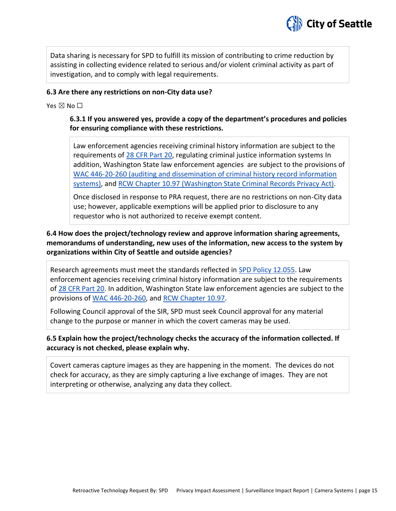

Data sharing is necessary for SPD to fulfill its mission of contributing to crime reduction by assisting in collecting evidence related to serious and/or violent criminal activity as part of investigation, and to comply with legal requirements.

#### **6.3 Are there any restrictions on non-City data use?**

Yes  $\boxtimes$  No  $\square$ 

#### **6.3.1 If you answered yes, provide a copy of the department's procedures and policies for ensuring compliance with these restrictions.**

Law enforcement agencies receiving criminal history information are subject to the requirements of [28 CFR Part 20,](https://www.ecfr.gov/cgi-bin/text-idx?tpl=/ecfrbrowse/Title28/28cfr20_main_02.tpl) regulating criminal justice information systems In addition, Washington State law enforcement agencies are subject to the provisions of [WAC 446-20-260](http://apps.leg.wa.gov/wac/default.aspx?cite=446-20-260) (auditing and dissemination of criminal history record information systems), and [RCW Chapter 10.97](http://app.leg.wa.gov/rcw/default.aspx?cite=10.97) (Washington State Criminal Records Privacy Act).

Once disclosed in response to PRA request, there are no restrictions on non-City data use; however, applicable exemptions will be applied prior to disclosure to any requestor who is not authorized to receive exempt content.

#### **6.4 How does the project/technology review and approve information sharing agreements, memorandums of understanding, new uses of the information, new access to the system by organizations within City of Seattle and outside agencies?**

Research agreements must meet the standards reflected in [SPD Policy 12.055.](http://www.seattle.gov/police-manual/title-12---department-information-systems/12055---criminal-justice-research) Law enforcement agencies receiving criminal history information are subject to the requirements of [28 CFR Part 20.](https://www.ecfr.gov/cgi-bin/text-idx?tpl=/ecfrbrowse/Title28/28cfr20_main_02.tpl) In addition, Washington State law enforcement agencies are subject to the provisions of [WAC 446-20-260,](http://apps.leg.wa.gov/wac/default.aspx?cite=446-20-260) and [RCW Chapter 10.97.](http://app.leg.wa.gov/rcw/default.aspx?cite=10.97)

Following Council approval of the SIR, SPD must seek Council approval for any material change to the purpose or manner in which the covert cameras may be used.

#### **6.5 Explain how the project/technology checks the accuracy of the information collected. If accuracy is not checked, please explain why.**

Covert cameras capture images as they are happening in the moment. The devices do not check for accuracy, as they are simply capturing a live exchange of images. They are not interpreting or otherwise, analyzing any data they collect.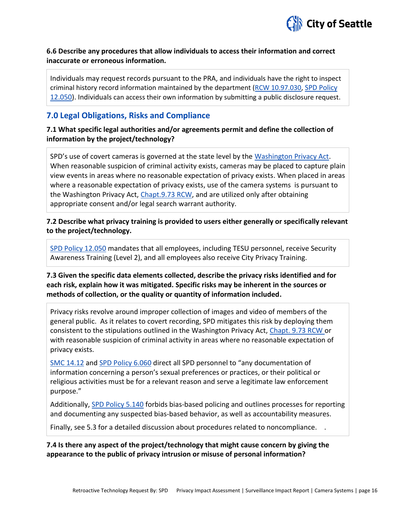

#### **6.6 Describe any procedures that allow individuals to access their information and correct inaccurate or erroneous information.**

Individuals may request records pursuant to the PRA, and individuals have the right to inspect criminal history record information maintained by the department [\(RCW 10.97.030,](http://app.leg.wa.gov/rcw/default.aspx?cite=10.97.030) [SPD Policy](http://www.seattle.gov/police-manual/title-12---department-information-systems/12050---criminal-justice-information-systems)  [12.050\)](http://www.seattle.gov/police-manual/title-12---department-information-systems/12050---criminal-justice-information-systems). Individuals can access their own information by submitting a public disclosure request.

#### **7.0 Legal Obligations, Risks and Compliance**

**7.1 What specific legal authorities and/or agreements permit and define the collection of information by the project/technology?**

SPD's use of covert cameras is governed at the state level by the [Washington Privacy Act.](http://app.leg.wa.gov/rcw/default.aspx?cite=9.73) When reasonable suspicion of criminal activity exists, cameras may be placed to capture plain view events in areas where no reasonable expectation of privacy exists. When placed in areas where a reasonable expectation of privacy exists, use of the camera systems is pursuant to the Washington Privacy Act, [Chapt.9.73 RCW,](http://app.leg.wa.gov/rcw/default.aspx?cite=9.73) and are utilized only after obtaining appropriate consent and/or legal search warrant authority.

#### **7.2 Describe what privacy training is provided to users either generally or specifically relevant to the project/technology.**

[SPD Policy 12.050](http://www.seattle.gov/police-manual/title-12---department-information-systems/12050---criminal-justice-information-systems) mandates that all employees, including TESU personnel, receive Security Awareness Training (Level 2), and all employees also receive City Privacy Training.

**7.3 Given the specific data elements collected, describe the privacy risks identified and for each risk, explain how it was mitigated. Specific risks may be inherent in the sources or methods of collection, or the quality or quantity of information included.**

Privacy risks revolve around improper collection of images and video of members of the general public. As it relates to covert recording, SPD mitigates this risk by deploying them consistent to the stipulations outlined in the Washington Privacy Act, [Chapt. 9.73 RCW](http://app.leg.wa.gov/rcw/default.aspx?cite=9.73) or with reasonable suspicion of criminal activity in areas where no reasonable expectation of privacy exists.

[SMC 14.12](http://clerk.ci.seattle.wa.us/~public/toc/14-12.htm) an[d SPD Policy 6.060](http://www.seattle.gov/police-manual/title-6---arrests-search-and-seizure/6060---collection-of-information-for-law-enforcement-purposes) direct all SPD personnel to "any documentation of information concerning a person's sexual preferences or practices, or their political or religious activities must be for a relevant reason and serve a legitimate law enforcement purpose."

Additionally, [SPD Policy 5.140](http://www.seattle.gov/police-manual/title-5---employee-conduct/5140---bias-free-policing) forbids bias-based policing and outlines processes for reporting and documenting any suspected bias-based behavior, as well as accountability measures.

Finally, see 5.3 for a detailed discussion about procedures related to noncompliance. .

**7.4 Is there any aspect of the project/technology that might cause concern by giving the appearance to the public of privacy intrusion or misuse of personal information?**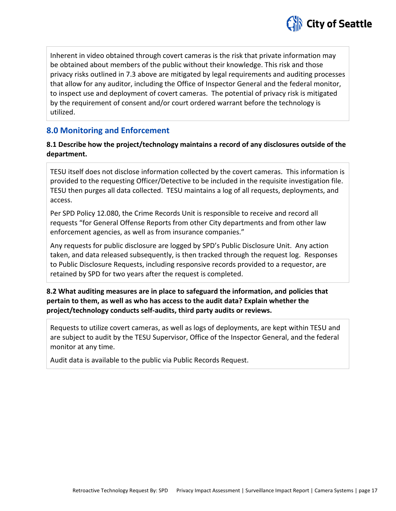

Inherent in video obtained through covert cameras is the risk that private information may be obtained about members of the public without their knowledge. This risk and those privacy risks outlined in 7.3 above are mitigated by legal requirements and auditing processes that allow for any auditor, including the Office of Inspector General and the federal monitor, to inspect use and deployment of covert cameras. The potential of privacy risk is mitigated by the requirement of consent and/or court ordered warrant before the technology is utilized.

#### **8.0 Monitoring and Enforcement**

#### **8.1 Describe how the project/technology maintains a record of any disclosures outside of the department.**

TESU itself does not disclose information collected by the covert cameras. This information is provided to the requesting Officer/Detective to be included in the requisite investigation file. TESU then purges all data collected. TESU maintains a log of all requests, deployments, and access.

Per SPD Policy 12.080, the Crime Records Unit is responsible to receive and record all requests "for General Offense Reports from other City departments and from other law enforcement agencies, as well as from insurance companies."

Any requests for public disclosure are logged by SPD's Public Disclosure Unit. Any action taken, and data released subsequently, is then tracked through the request log. Responses to Public Disclosure Requests, including responsive records provided to a requestor, are retained by SPD for two years after the request is completed.

#### **8.2 What auditing measures are in place to safeguard the information, and policies that pertain to them, as well as who has access to the audit data? Explain whether the project/technology conducts self-audits, third party audits or reviews.**

Requests to utilize covert cameras, as well as logs of deployments, are kept within TESU and are subject to audit by the TESU Supervisor, Office of the Inspector General, and the federal monitor at any time.

Audit data is available to the public via Public Records Request.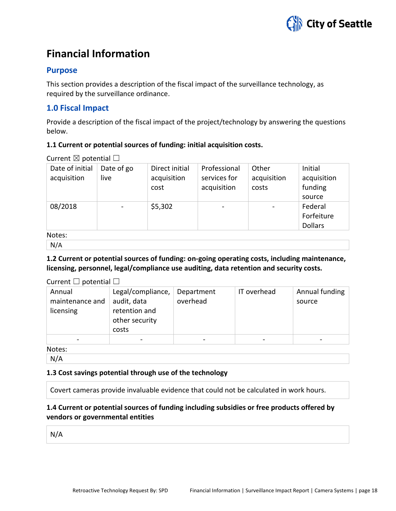

## **Financial Information**

#### **Purpose**

This section provides a description of the fiscal impact of the surveillance technology, as required by the surveillance ordinance.

#### **1.0 Fiscal Impact**

Provide a description of the fiscal impact of the project/technology by answering the questions below.

#### **1.1 Current or potential sources of funding: initial acquisition costs.**

Current  $\boxtimes$  potential  $\Box$ 

| Date of initial<br>acquisition | Date of go<br>live | Direct initial<br>acquisition<br>cost | Professional<br>services for<br>acquisition | Other<br>acquisition<br>costs | Initial<br>acquisition<br>funding       |
|--------------------------------|--------------------|---------------------------------------|---------------------------------------------|-------------------------------|-----------------------------------------|
|                                |                    |                                       |                                             |                               | source                                  |
| 08/2018                        |                    | \$5,302                               | $\overline{\phantom{0}}$                    |                               | Federal<br>Forfeiture<br><b>Dollars</b> |
| Notes:                         |                    |                                       |                                             |                               |                                         |

N/A

#### **1.2 Current or potential sources of funding: on-going operating costs, including maintenance, licensing, personnel, legal/compliance use auditing, data retention and security costs.**

| Current $\Box$ potential $\Box$        |                                                                              |                        |             |                          |
|----------------------------------------|------------------------------------------------------------------------------|------------------------|-------------|--------------------------|
| Annual<br>maintenance and<br>licensing | Legal/compliance,<br>audit, data<br>retention and<br>other security<br>costs | Department<br>overhead | IT overhead | Annual funding<br>source |
|                                        |                                                                              |                        |             |                          |

Notes:

N/A

#### **1.3 Cost savings potential through use of the technology**

Covert cameras provide invaluable evidence that could not be calculated in work hours.

#### **1.4 Current or potential sources of funding including subsidies or free products offered by vendors or governmental entities**

N/A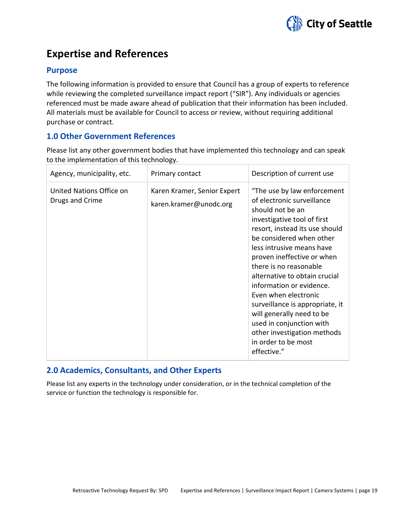

## **Expertise and References**

#### **Purpose**

The following information is provided to ensure that Council has a group of experts to reference while reviewing the completed surveillance impact report ("SIR"). Any individuals or agencies referenced must be made aware ahead of publication that their information has been included. All materials must be available for Council to access or review, without requiring additional purchase or contract.

#### **1.0 Other Government References**

Please list any other government bodies that have implemented this technology and can speak to the implementation of this technology.

| Agency, municipality, etc.                  | Primary contact                                       | Description of current use                                                                                                                                                                                                                                                                                                                                                                                                                                                                                            |
|---------------------------------------------|-------------------------------------------------------|-----------------------------------------------------------------------------------------------------------------------------------------------------------------------------------------------------------------------------------------------------------------------------------------------------------------------------------------------------------------------------------------------------------------------------------------------------------------------------------------------------------------------|
| United Nations Office on<br>Drugs and Crime | Karen Kramer, Senior Expert<br>karen.kramer@unodc.org | "The use by law enforcement<br>of electronic surveillance<br>should not be an<br>investigative tool of first<br>resort, instead its use should<br>be considered when other<br>less intrusive means have<br>proven ineffective or when<br>there is no reasonable<br>alternative to obtain crucial<br>information or evidence.<br>Even when electronic<br>surveillance is appropriate, it<br>will generally need to be<br>used in conjunction with<br>other investigation methods<br>in order to be most<br>effective." |

#### **2.0 Academics, Consultants, and Other Experts**

Please list any experts in the technology under consideration, or in the technical completion of the service or function the technology is responsible for.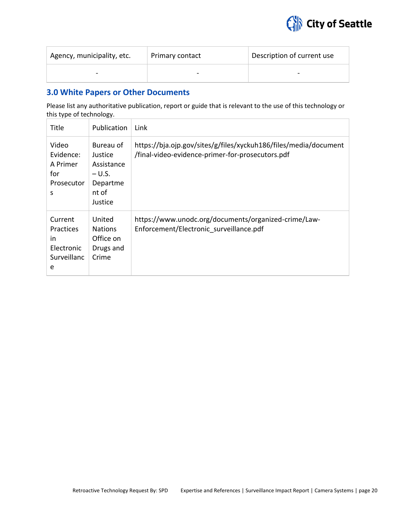

| Agency, municipality, etc. | Primary contact | Description of current use |
|----------------------------|-----------------|----------------------------|
| $\overline{\phantom{a}}$   | -               | $\overline{\phantom{0}}$   |

#### **3.0 White Papers or Other Documents**

Please list any authoritative publication, report or guide that is relevant to the use of this technology or this type of technology.

| Title                                                               | Publication                                                                    | Link                                                                                                                 |
|---------------------------------------------------------------------|--------------------------------------------------------------------------------|----------------------------------------------------------------------------------------------------------------------|
| Video<br>Evidence:<br>A Primer<br>for<br>Prosecutor<br>S            | Bureau of<br>Justice<br>Assistance<br>$- U.S.$<br>Departme<br>nt of<br>Justice | https://bja.ojp.gov/sites/g/files/xyckuh186/files/media/document<br>/final-video-evidence-primer-for-prosecutors.pdf |
| Current<br><b>Practices</b><br>in<br>Electronic<br>Surveillanc<br>e | United<br><b>Nations</b><br>Office on<br>Drugs and<br>Crime                    | https://www.unodc.org/documents/organized-crime/Law-<br>Enforcement/Electronic surveillance.pdf                      |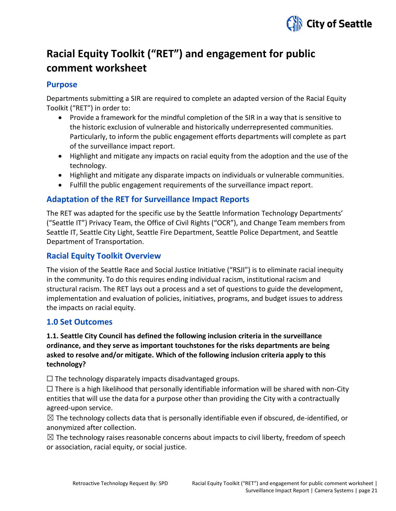

## **Racial Equity Toolkit ("RET") and engagement for public comment worksheet**

#### **Purpose**

Departments submitting a SIR are required to complete an adapted version of the Racial Equity Toolkit ("RET") in order to:

- Provide a framework for the mindful completion of the SIR in a way that is sensitive to the historic exclusion of vulnerable and historically underrepresented communities. Particularly, to inform the public engagement efforts departments will complete as part of the surveillance impact report.
- Highlight and mitigate any impacts on racial equity from the adoption and the use of the technology.
- Highlight and mitigate any disparate impacts on individuals or vulnerable communities.
- Fulfill the public engagement requirements of the surveillance impact report.

#### **Adaptation of the RET for Surveillance Impact Reports**

The RET was adapted for the specific use by the Seattle Information Technology Departments' ("Seattle IT") Privacy Team, the Office of Civil Rights ("OCR"), and Change Team members from Seattle IT, Seattle City Light, Seattle Fire Department, Seattle Police Department, and Seattle Department of Transportation.

#### **Racial Equity Toolkit Overview**

The vision of the Seattle Race and Social Justice Initiative ("RSJI") is to eliminate racial inequity in the community. To do this requires ending individual racism, institutional racism and structural racism. The RET lays out a process and a set of questions to guide the development, implementation and evaluation of policies, initiatives, programs, and budget issues to address the impacts on racial equity.

#### **1.0 Set Outcomes**

#### **1.1. Seattle City Council has defined the following inclusion criteria in the surveillance ordinance, and they serve as important touchstones for the risks departments are being asked to resolve and/or mitigate. Which of the following inclusion criteria apply to this technology?**

 $\Box$  The technology disparately impacts disadvantaged groups.

 $\Box$  There is a high likelihood that personally identifiable information will be shared with non-City entities that will use the data for a purpose other than providing the City with a contractually agreed-upon service.

 $\boxtimes$  The technology collects data that is personally identifiable even if obscured, de-identified, or anonymized after collection.

 $\boxtimes$  The technology raises reasonable concerns about impacts to civil liberty, freedom of speech or association, racial equity, or social justice.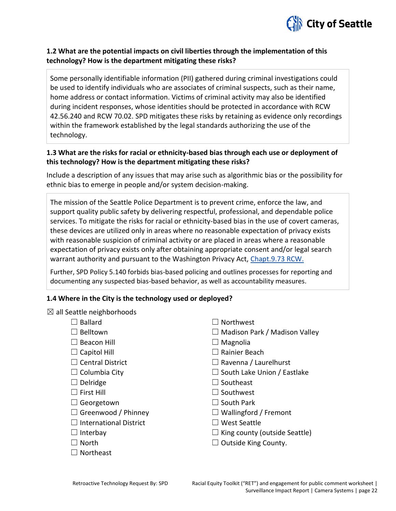

#### **1.2 What are the potential impacts on civil liberties through the implementation of this technology? How is the department mitigating these risks?**

Some personally identifiable information (PII) gathered during criminal investigations could be used to identify individuals who are associates of criminal suspects, such as their name, home address or contact information. Victims of criminal activity may also be identified during incident responses, whose identities should be protected in accordance with RCW 42.56.240 and RCW 70.02. SPD mitigates these risks by retaining as evidence only recordings within the framework established by the legal standards authorizing the use of the technology.

#### **1.3 What are the risks for racial or ethnicity-based bias through each use or deployment of this technology? How is the department mitigating these risks?**

Include a description of any issues that may arise such as algorithmic bias or the possibility for ethnic bias to emerge in people and/or system decision-making.

The mission of the Seattle Police Department is to prevent crime, enforce the law, and support quality public safety by delivering respectful, professional, and dependable police services. To mitigate the risks for racial or ethnicity-based bias in the use of covert cameras, these devices are utilized only in areas where no reasonable expectation of privacy exists with reasonable suspicion of criminal activity or are placed in areas where a reasonable expectation of privacy exists only after obtaining appropriate consent and/or legal search warrant authority and pursuant to the Washington Privacy Act, [Chapt.9.73 RCW.](http://app.leg.wa.gov/rcw/default.aspx?cite=9.73)

Further, SPD Policy 5.140 forbids bias-based policing and outlines processes for reporting and documenting any suspected bias-based behavior, as well as accountability measures.

#### **1.4 Where in the City is the technology used or deployed?**

|  |  |  | $\boxtimes$ all Seattle neighborhoods |
|--|--|--|---------------------------------------|
|--|--|--|---------------------------------------|

| <b>Ballard</b>                | $\Box$ Northwest                     |
|-------------------------------|--------------------------------------|
| Belltown                      | $\Box$ Madison Park / Madison Valley |
| Beacon Hill                   | $\Box$ Magnolia                      |
| $\Box$ Capitol Hill           | Rainier Beach                        |
| $\Box$ Central District       | $\Box$ Ravenna / Laurelhurst         |
| $\Box$ Columbia City          | $\Box$ South Lake Union / Eastlake   |
| $\Box$ Delridge               | $\Box$ Southeast                     |
| $\Box$ First Hill             | $\Box$ Southwest                     |
| Georgetown                    | $\Box$ South Park                    |
| $\Box$ Greenwood / Phinney    | $\Box$ Wallingford / Fremont         |
| <b>International District</b> | <b>West Seattle</b>                  |
| Interbay                      | $\Box$ King county (outside Seattle) |
| $\Box$ North                  | $\Box$ Outside King County.          |
| Northeast                     |                                      |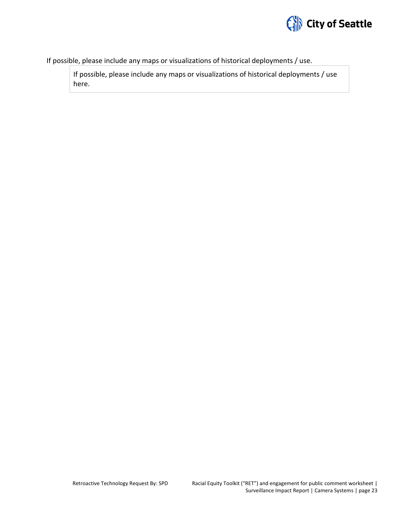

If possible, please include any maps or visualizations of historical deployments / use.

If possible, please include any maps or visualizations of historical deployments / use here.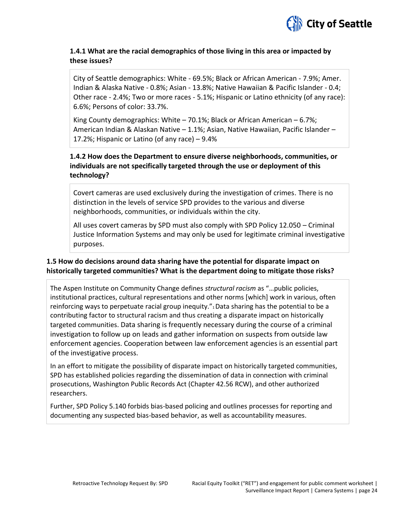

#### **1.4.1 What are the racial demographics of those living in this area or impacted by these issues?**

City of Seattle demographics: White - 69.5%; Black or African American - 7.9%; Amer. Indian & Alaska Native - 0.8%; Asian - 13.8%; Native Hawaiian & Pacific Islander - 0.4; Other race - 2.4%; Two or more races - 5.1%; Hispanic or Latino ethnicity (of any race): 6.6%; Persons of color: 33.7%.

King County demographics: White  $-70.1\%$ ; Black or African American  $-6.7\%$ ; American Indian & Alaskan Native – 1.1%; Asian, Native Hawaiian, Pacific Islander – 17.2%; Hispanic or Latino (of any race) – 9.4%

#### **1.4.2 How does the Department to ensure diverse neighborhoods, communities, or individuals are not specifically targeted through the use or deployment of this technology?**

Covert cameras are used exclusively during the investigation of crimes. There is no distinction in the levels of service SPD provides to the various and diverse neighborhoods, communities, or individuals within the city.

All uses covert cameras by SPD must also comply with SPD Policy 12.050 – Criminal Justice Information Systems and may only be used for legitimate criminal investigative purposes.

#### **1.5 How do decisions around data sharing have the potential for disparate impact on historically targeted communities? What is the department doing to mitigate those risks?**

The Aspen Institute on Community Change defines *structural racism* as "…public policies, institutional practices, cultural representations and other norms [which] work in various, often reinforcing ways to perpetuate racial group inequity."1 Data sharing has the potential to be a contributing factor to structural racism and thus creating a disparate impact on historically targeted communities. Data sharing is frequently necessary during the course of a criminal investigation to follow up on leads and gather information on suspects from outside law enforcement agencies. Cooperation between law enforcement agencies is an essential part of the investigative process.

In an effort to mitigate the possibility of disparate impact on historically targeted communities, SPD has established policies regarding the dissemination of data in connection with criminal prosecutions, Washington Public Records Act (Chapter 42.56 RCW), and other authorized researchers.

Further, SPD Policy 5.140 forbids bias-based policing and outlines processes for reporting and documenting any suspected bias-based behavior, as well as accountability measures.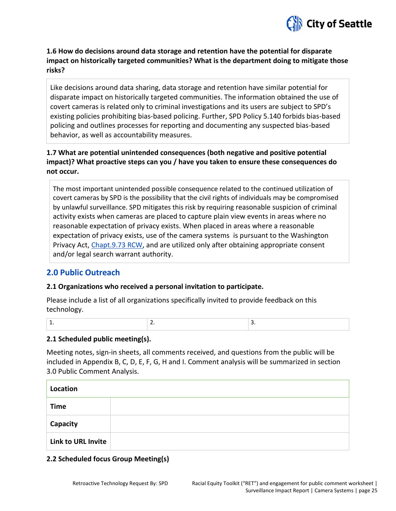

**1.6 How do decisions around data storage and retention have the potential for disparate impact on historically targeted communities? What is the department doing to mitigate those risks?** 

Like decisions around data sharing, data storage and retention have similar potential for disparate impact on historically targeted communities. The information obtained the use of covert cameras is related only to criminal investigations and its users are subject to SPD's existing policies prohibiting bias-based policing. Further, SPD Policy 5.140 forbids bias-based policing and outlines processes for reporting and documenting any suspected bias-based behavior, as well as accountability measures.

#### **1.7 What are potential unintended consequences (both negative and positive potential impact)? What proactive steps can you / have you taken to ensure these consequences do not occur.**

The most important unintended possible consequence related to the continued utilization of covert cameras by SPD is the possibility that the civil rights of individuals may be compromised by unlawful surveillance. SPD mitigates this risk by requiring reasonable suspicion of criminal activity exists when cameras are placed to capture plain view events in areas where no reasonable expectation of privacy exists. When placed in areas where a reasonable expectation of privacy exists, use of the camera systems is pursuant to the Washington Privacy Act, [Chapt.9.73 RCW,](http://app.leg.wa.gov/rcw/default.aspx?cite=9.73) and are utilized only after obtaining appropriate consent and/or legal search warrant authority.

#### **2.0 Public Outreach**

#### **2.1 Organizations who received a personal invitation to participate.**

Please include a list of all organizations specifically invited to provide feedback on this technology.

|  | __ |
|--|----|
|  |    |

#### **2.1 Scheduled public meeting(s).**

Meeting notes, sign-in sheets, all comments received, and questions from the public will be included in Appendix B, C, D, E, F, G, H and I. Comment analysis will be summarized in section 3.0 Public Comment Analysis.

| Location                  |  |
|---------------------------|--|
| <b>Time</b>               |  |
| Capacity                  |  |
| <b>Link to URL Invite</b> |  |

#### **2.2 Scheduled focus Group Meeting(s)**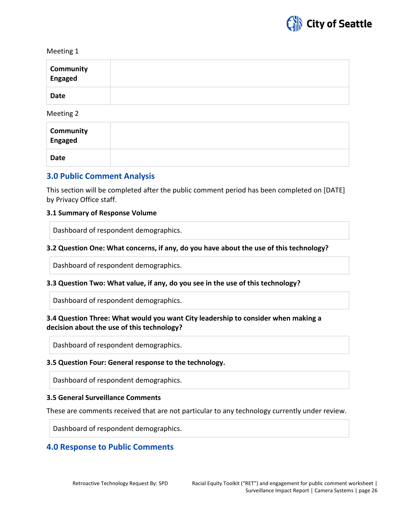

Meeting 1

| Community<br>Engaged |  |
|----------------------|--|
| <b>Date</b>          |  |

Meeting 2

| <b>Community</b><br>Engaged |  |
|-----------------------------|--|
| <b>Date</b>                 |  |

#### **3.0 Public Comment Analysis**

This section will be completed after the public comment period has been completed on [DATE] by Privacy Office staff.

#### **3.1 Summary of Response Volume**

Dashboard of respondent demographics.

#### **3.2 Question One: What concerns, if any, do you have about the use of this technology?**

Dashboard of respondent demographics.

#### **3.3 Question Two: What value, if any, do you see in the use of this technology?**

Dashboard of respondent demographics.

#### **3.4 Question Three: What would you want City leadership to consider when making a decision about the use of this technology?**

Dashboard of respondent demographics.

#### **3.5 Question Four: General response to the technology.**

Dashboard of respondent demographics.

#### **3.5 General Surveillance Comments**

These are comments received that are not particular to any technology currently under review.

Dashboard of respondent demographics.

#### **4.0 Response to Public Comments**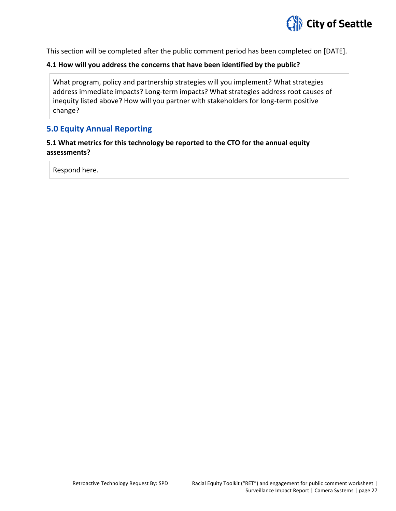

This section will be completed after the public comment period has been completed on [DATE].

#### **4.1 How will you address the concerns that have been identified by the public?**

What program, policy and partnership strategies will you implement? What strategies address immediate impacts? Long-term impacts? What strategies address root causes of inequity listed above? How will you partner with stakeholders for long-term positive change?

#### **5.0 Equity Annual Reporting**

#### **5.1 What metrics for this technology be reported to the CTO for the annual equity assessments?**

Respond here.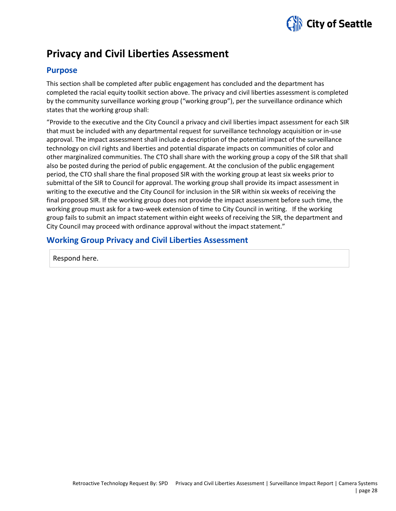

## **Privacy and Civil Liberties Assessment**

#### **Purpose**

This section shall be completed after public engagement has concluded and the department has completed the racial equity toolkit section above. The privacy and civil liberties assessment is completed by the community surveillance working group ("working group"), per the surveillance ordinance which states that the working group shall:

"Provide to the executive and the City Council a privacy and civil liberties impact assessment for each SIR that must be included with any departmental request for surveillance technology acquisition or in-use approval. The impact assessment shall include a description of the potential impact of the surveillance technology on civil rights and liberties and potential disparate impacts on communities of color and other marginalized communities. The CTO shall share with the working group a copy of the SIR that shall also be posted during the period of public engagement. At the conclusion of the public engagement period, the CTO shall share the final proposed SIR with the working group at least six weeks prior to submittal of the SIR to Council for approval. The working group shall provide its impact assessment in writing to the executive and the City Council for inclusion in the SIR within six weeks of receiving the final proposed SIR. If the working group does not provide the impact assessment before such time, the working group must ask for a two-week extension of time to City Council in writing. If the working group fails to submit an impact statement within eight weeks of receiving the SIR, the department and City Council may proceed with ordinance approval without the impact statement."

#### **Working Group Privacy and Civil Liberties Assessment**

Respond here.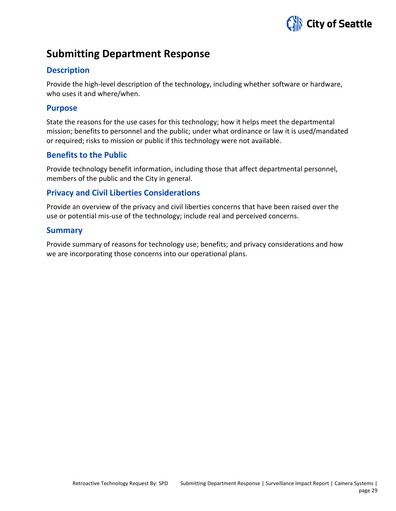

## **Submitting Department Response**

#### **Description**

Provide the high-level description of the technology, including whether software or hardware, who uses it and where/when.

#### **Purpose**

State the reasons for the use cases for this technology; how it helps meet the departmental mission; benefits to personnel and the public; under what ordinance or law it is used/mandated or required; risks to mission or public if this technology were not available.

#### **Benefits to the Public**

Provide technology benefit information, including those that affect departmental personnel, members of the public and the City in general.

#### **Privacy and Civil Liberties Considerations**

Provide an overview of the privacy and civil liberties concerns that have been raised over the use or potential mis-use of the technology; include real and perceived concerns.

#### **Summary**

Provide summary of reasons for technology use; benefits; and privacy considerations and how we are incorporating those concerns into our operational plans.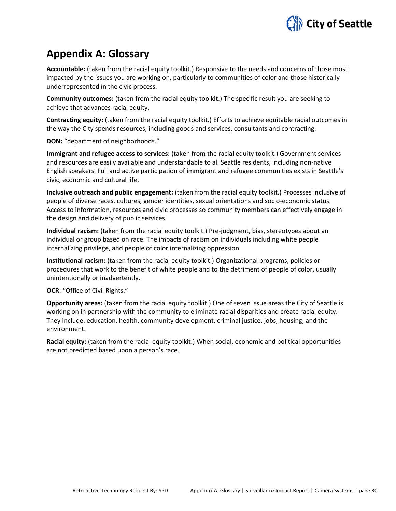

## **Appendix A: Glossary**

**Accountable:** (taken from the racial equity toolkit.) Responsive to the needs and concerns of those most impacted by the issues you are working on, particularly to communities of color and those historically underrepresented in the civic process.

**Community outcomes:** (taken from the racial equity toolkit.) The specific result you are seeking to achieve that advances racial equity.

**Contracting equity:** (taken from the racial equity toolkit.) Efforts to achieve equitable racial outcomes in the way the City spends resources, including goods and services, consultants and contracting.

**DON:** "department of neighborhoods."

**Immigrant and refugee access to services:** (taken from the racial equity toolkit.) Government services and resources are easily available and understandable to all Seattle residents, including non-native English speakers. Full and active participation of immigrant and refugee communities exists in Seattle's civic, economic and cultural life.

**Inclusive outreach and public engagement:** (taken from the racial equity toolkit.) Processes inclusive of people of diverse races, cultures, gender identities, sexual orientations and socio-economic status. Access to information, resources and civic processes so community members can effectively engage in the design and delivery of public services.

**Individual racism:** (taken from the racial equity toolkit.) Pre-judgment, bias, stereotypes about an individual or group based on race. The impacts of racism on individuals including white people internalizing privilege, and people of color internalizing oppression.

**Institutional racism:** (taken from the racial equity toolkit.) Organizational programs, policies or procedures that work to the benefit of white people and to the detriment of people of color, usually unintentionally or inadvertently.

**OCR**: "Office of Civil Rights."

**Opportunity areas:** (taken from the racial equity toolkit.) One of seven issue areas the City of Seattle is working on in partnership with the community to eliminate racial disparities and create racial equity. They include: education, health, community development, criminal justice, jobs, housing, and the environment.

**Racial equity:** (taken from the racial equity toolkit.) When social, economic and political opportunities are not predicted based upon a person's race.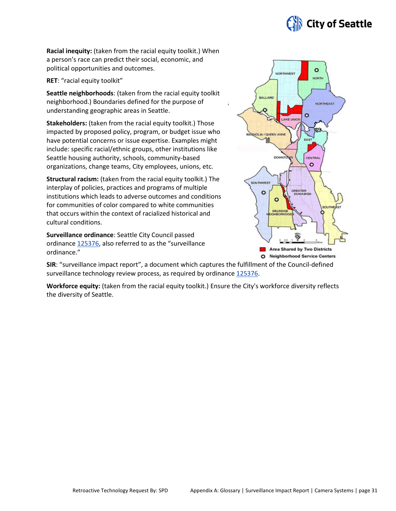

**Racial inequity:** (taken from the racial equity toolkit.) When a person's race can predict their social, economic, and political opportunities and outcomes.

**RET**: "racial equity toolkit"

**Seattle neighborhoods**: (taken from the racial equity toolkit neighborhood.) Boundaries defined for the purpose of understanding geographic areas in Seattle.

**Stakeholders:** (taken from the racial equity toolkit.) Those impacted by proposed policy, program, or budget issue who have potential concerns or issue expertise. Examples might include: specific racial/ethnic groups, other institutions like Seattle housing authority, schools, community-based organizations, change teams, City employees, unions, etc.

**Structural racism:** (taken from the racial equity toolkit.) The interplay of policies, practices and programs of multiple institutions which leads to adverse outcomes and conditions for communities of color compared to white communities that occurs within the context of racialized historical and cultural conditions.

**Surveillance ordinance**: Seattle City Council passed ordinance [125376,](http://seattle.legistar.com/LegislationDetail.aspx?ID=2981172&GUID=0B2FEFC0-822F-4907-9409-E318537E5330&Options=Advanced&Search=) also referred to as the "surveillance ordinance."



**SIR**: "surveillance impact report", a document which captures the fulfillment of the Council-defined surveillance technology review process, as required by ordinanc[e 125376.](http://seattle.legistar.com/LegislationDetail.aspx?ID=2981172&GUID=0B2FEFC0-822F-4907-9409-E318537E5330&Options=Advanced&Search=)

**Workforce equity:** (taken from the racial equity toolkit.) Ensure the City's workforce diversity reflects the diversity of Seattle.